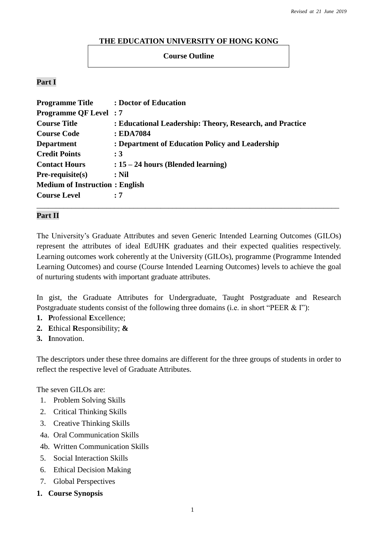#### **THE EDUCATION UNIVERSITY OF HONG KONG**

#### **Course Outline**

#### **Part I**

| <b>Programme Title</b>                | : Doctor of Education                                    |
|---------------------------------------|----------------------------------------------------------|
| <b>Programme QF Level: 7</b>          |                                                          |
| <b>Course Title</b>                   | : Educational Leadership: Theory, Research, and Practice |
| <b>Course Code</b>                    | : EDA7084                                                |
| <b>Department</b>                     | : Department of Education Policy and Leadership          |
| <b>Credit Points</b>                  | $\cdot$ 3                                                |
| <b>Contact Hours</b>                  | $: 15 - 24$ hours (Blended learning)                     |
| $Pre-requisite(s)$                    | $:$ Nil                                                  |
| <b>Medium of Instruction: English</b> |                                                          |
| <b>Course Level</b>                   | : 7                                                      |
|                                       |                                                          |

#### **Part II**

The University's Graduate Attributes and seven Generic Intended Learning Outcomes (GILOs) represent the attributes of ideal EdUHK graduates and their expected qualities respectively. Learning outcomes work coherently at the University (GILOs), programme (Programme Intended Learning Outcomes) and course (Course Intended Learning Outcomes) levels to achieve the goal of nurturing students with important graduate attributes.

In gist, the Graduate Attributes for Undergraduate, Taught Postgraduate and Research Postgraduate students consist of the following three domains (i.e. in short "PEER & I"):

- **1. P**rofessional **E**xcellence;
- **2. E**thical **R**esponsibility; **&**
- **3. I**nnovation.

The descriptors under these three domains are different for the three groups of students in order to reflect the respective level of Graduate Attributes.

The seven GILOs are:

- 1. Problem Solving Skills
- 2. Critical Thinking Skills
- 3. Creative Thinking Skills
- 4a. Oral Communication Skills
- 4b. Written Communication Skills
- 5. Social Interaction Skills
- 6. Ethical Decision Making
- 7. Global Perspectives
- **1. Course Synopsis**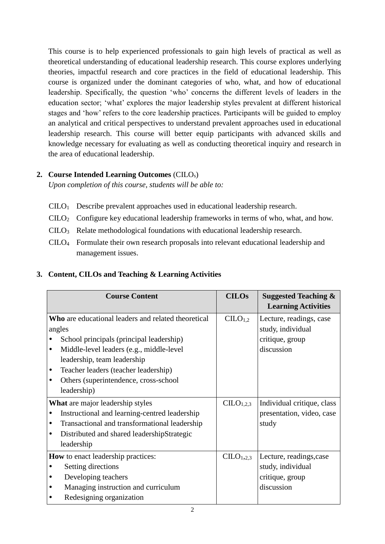This course is to help experienced professionals to gain high levels of practical as well as theoretical understanding of educational leadership research. This course explores underlying theories, impactful research and core practices in the field of educational leadership. This course is organized under the dominant categories of who, what, and how of educational leadership. Specifically, the question 'who' concerns the different levels of leaders in the education sector; 'what' explores the major leadership styles prevalent at different historical stages and 'how' refers to the core leadership practices. Participants will be guided to employ an analytical and critical perspectives to understand prevalent approaches used in educational leadership research. This course will better equip participants with advanced skills and knowledge necessary for evaluating as well as conducting theoretical inquiry and research in the area of educational leadership.

### **2. Course Intended Learning Outcomes** (CILOs)

*Upon completion of this course, students will be able to:*

- CILO1 Describe prevalent approaches used in educational leadership research.
- CILO2 Configure key educational leadership frameworks in terms of who, what, and how.
- CILO3 Relate methodological foundations with educational leadership research.
- CILO4 Formulate their own research proposals into relevant educational leadership and management issues.

| <b>Course Content</b>                                                                                                                                                                                                                                                                               | <b>CILOs</b>          | <b>Suggested Teaching &amp;</b><br><b>Learning Activities</b>                 |
|-----------------------------------------------------------------------------------------------------------------------------------------------------------------------------------------------------------------------------------------------------------------------------------------------------|-----------------------|-------------------------------------------------------------------------------|
| Who are educational leaders and related theoretical<br>angles<br>School principals (principal leadership)<br>Middle-level leaders (e.g., middle-level<br>٠<br>leadership, team leadership<br>Teacher leaders (teacher leadership)<br>٠<br>Others (superintendence, cross-school<br>٠<br>leadership) | CLLO <sub>1,2</sub>   | Lecture, readings, case<br>study, individual<br>critique, group<br>discussion |
| What are major leadership styles<br>Instructional and learning-centred leadership<br>Transactional and transformational leadership<br>$\bullet$<br>Distributed and shared leadershipStrategic<br>٠<br>leadership                                                                                    | CILO <sub>1,2,3</sub> | Individual critique, class<br>presentation, video, case<br>study              |
| <b>How</b> to enact leadership practices:<br>Setting directions<br>٠<br>Developing teachers<br>Managing instruction and curriculum<br>Redesigning organization                                                                                                                                      | CILO <sub>1,2,3</sub> | Lecture, readings, case<br>study, individual<br>critique, group<br>discussion |

# **3. Content, CILOs and Teaching & Learning Activities**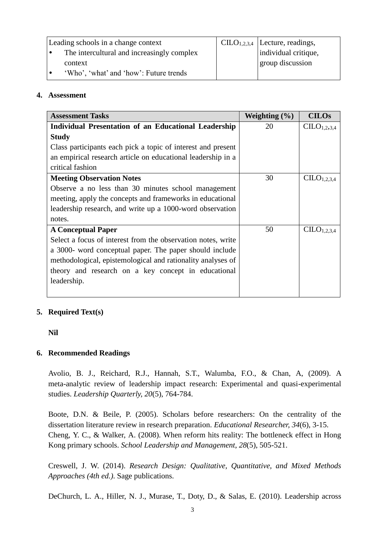| Leading schools in a change context        | $CLLO1,2,3,4$ [Lecture, readings, |
|--------------------------------------------|-----------------------------------|
| The intercultural and increasingly complex | individual critique,              |
| context                                    | group discussion                  |
| 'Who', 'what' and 'how': Future trends     |                                   |

#### **4. Assessment**

| <b>Assessment Tasks</b>                                      | Weighting $(\% )$ | <b>CILOs</b>                        |
|--------------------------------------------------------------|-------------------|-------------------------------------|
| <b>Individual Presentation of an Educational Leadership</b>  | 20                | CILO <sub>1,2,3,4</sub>             |
| <b>Study</b>                                                 |                   |                                     |
| Class participants each pick a topic of interest and present |                   |                                     |
| an empirical research article on educational leadership in a |                   |                                     |
| critical fashion                                             |                   |                                     |
| <b>Meeting Observation Notes</b>                             | 30                | CILO <sub>1,2,3,4</sub>             |
| Observe a no less than 30 minutes school management          |                   |                                     |
| meeting, apply the concepts and frameworks in educational    |                   |                                     |
| leadership research, and write up a 1000-word observation    |                   |                                     |
| notes.                                                       |                   |                                     |
| <b>A Conceptual Paper</b>                                    | 50                | C <sub>L</sub> O <sub>1,2,3,4</sub> |
| Select a focus of interest from the observation notes, write |                   |                                     |
| a 3000- word conceptual paper. The paper should include      |                   |                                     |
| methodological, epistemological and rationality analyses of  |                   |                                     |
| theory and research on a key concept in educational          |                   |                                     |
| leadership.                                                  |                   |                                     |
|                                                              |                   |                                     |

### **5. Required Text(s)**

**Nil**

### **6. Recommended Readings**

Avolio, B. J., Reichard, R.J., Hannah, S.T., Walumba, F.O., & Chan, A, (2009). A meta-analytic review of leadership impact research: Experimental and quasi-experimental studies. *Leadership Quarterly, 20*(5), 764-784.

Boote, D.N. & Beile, P. (2005). Scholars before researchers: On the centrality of the dissertation literature review in research preparation. *Educational Researcher, 34*(6), 3-15. Cheng, Y. C., & Walker, A. (2008). When reform hits reality: The bottleneck effect in Hong Kong primary schools. *School Leadership and Management*, *28*(5), 505-521.

Creswell, J. W. (2014). *Research Design: Qualitative, Quantitative, and Mixed Methods Approaches (4th ed.)*. Sage publications.

DeChurch, L. A., Hiller, N. J., Murase, T., Doty, D., & Salas, E. (2010). Leadership across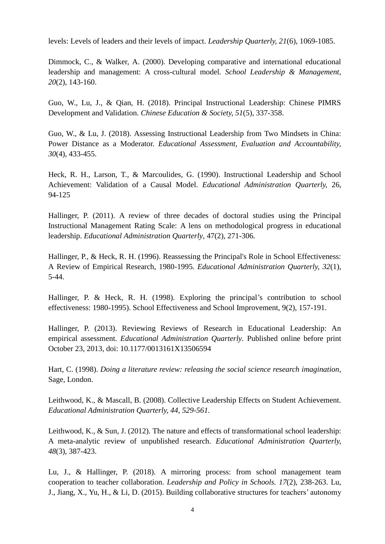levels: Levels of leaders and their levels of impact. *Leadership Quarterly, 21*(6), 1069-1085.

Dimmock, C., & Walker, A. (2000). Developing comparative and international educational leadership and management: A cross-cultural model. *School Leadership & Management*, *20*(2), 143-160.

Guo, W., Lu, J., & Qian, H. (2018). Principal Instructional Leadership: Chinese PIMRS Development and Validation. *Chinese Education & Society, 51*(5), 337-358.

Guo, W., & Lu, J. (2018). Assessing Instructional Leadership from Two Mindsets in China: Power Distance as a Moderator. *Educational Assessment, Evaluation and Accountability, 30*(4), 433-455.

Heck, R. H., Larson, T., & Marcoulides, G. (1990). Instructional Leadership and School Achievement: Validation of a Causal Model. *Educational Administration Quarterly,* 26, 94-125

Hallinger, P. (2011). A review of three decades of doctoral studies using the Principal Instructional Management Rating Scale: A lens on methodological progress in educational leadership. *Educational Administration Quarterly*, 47(2), 271-306.

Hallinger, P., & Heck, R. H. (1996). Reassessing the Principal's Role in School Effectiveness: A Review of Empirical Research, 1980-1995. *Educational Administration Quarterly, 32*(1), 5-44.

Hallinger, P. & Heck, R. H. (1998). Exploring the principal's contribution to school effectiveness: 1980-1995). School Effectiveness and School Improvement, 9(2), 157-191.

Hallinger, P. (2013). Reviewing Reviews of Research in Educational Leadership: An empirical assessment. *Educational Administration Quarterly*. Published online before print October 23, 2013, doi: 10.1177/0013161X13506594

Hart, C. (1998). *Doing a literature review: releasing the social science research imagination*, Sage, London.

Leithwood, K., & Mascall, B. (2008). Collective Leadership Effects on Student Achievement. *Educational Administration Quarterly, 44, 529-561.*

Leithwood, K., & Sun, J. (2012). The nature and effects of transformational school leadership: A meta-analytic review of unpublished research. *Educational Administration Quarterly, 48*(3), 387-423.

Lu, J., & Hallinger, P. (2018). A mirroring process: from school management team cooperation to teacher collaboration. *Leadership and Policy in Schools. 17*(2), 238-263. Lu, J., Jiang, X., Yu, H., & Li, D. (2015). Building collaborative structures for teachers' autonomy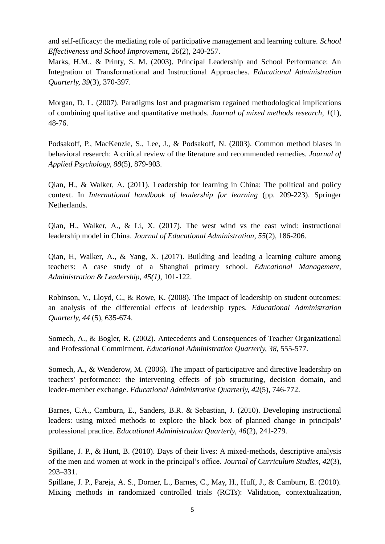and self-efficacy: the mediating role of participative management and learning culture. *School Effectiveness and School Improvement, 26*(2), 240-257.

Marks, H.M., & Printy, S. M. (2003). Principal Leadership and School Performance: An Integration of Transformational and Instructional Approaches. *Educational Administration Quarterly, 39*(3), 370-397.

Morgan, D. L. (2007). Paradigms lost and pragmatism regained methodological implications of combining qualitative and quantitative methods. *Journal of mixed methods research*, *1*(1), 48-76.

Podsakoff, P., MacKenzie, S., Lee, J., & Podsakoff, N. (2003). Common method biases in behavioral research: A critical review of the literature and recommended remedies. *Journal of Applied Psychology, 88*(5), 879-903.

Qian, H., & Walker, A. (2011). Leadership for learning in China: The political and policy context. In *International handbook of leadership for learning* (pp. 209-223). Springer Netherlands.

Qian, H., Walker, A., & Li, X. (2017). The west wind vs the east wind: instructional leadership model in China. *Journal of Educational Administration*, *55*(2), 186-206.

Qian, H, Walker, A., & Yang, X. (2017). Building and leading a learning culture among teachers: A case study of a Shanghai primary school. *Educational Management, Administration & Leadership, 45(1)*, 101-122.

Robinson, V., Lloyd, C., & Rowe, K. (2008). The impact of leadership on student outcomes: an analysis of the differential effects of leadership types. *Educational Administration Quarterly, 44* (5), 635-674.

Somech, A., & Bogler, R. (2002). Antecedents and Consequences of Teacher Organizational and Professional Commitment. *Educational Administration Quarterly, 38*, 555-577.

Somech, A., & Wenderow, M. (2006). The impact of participative and directive leadership on teachers' performance: the intervening effects of job structuring, decision domain, and leader-member exchange. *Educational Administrative Quarterly, 42*(5), 746-772.

Barnes, C.A., Camburn, E., Sanders, B.R. & Sebastian, J. (2010). Developing instructional leaders: using mixed methods to explore the black box of planned change in principals' professional practice. *Educational Administration Quarterly, 46*(2), 241-279.

Spillane, J. P., & Hunt, B. (2010). Days of their lives: A mixed-methods, descriptive analysis of the men and women at work in the principal's office. *Journal of Curriculum Studies, 42*(3), 293–331.

Spillane, J. P., Pareja, A. S., Dorner, L., Barnes, C., May, H., Huff, J., & Camburn, E. (2010). Mixing methods in randomized controlled trials (RCTs): Validation, contextualization,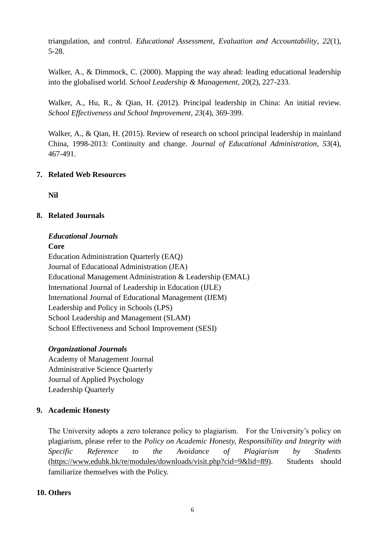triangulation, and control. *Educational Assessment, Evaluation and Accountability*, *22*(1), 5-28.

Walker, A., & Dimmock, C. (2000). Mapping the way ahead: leading educational leadership into the globalised world. *School Leadership & Management*, *20*(2), 227-233.

Walker, A., Hu, R., & Qian, H. (2012). Principal leadership in China: An initial review. *School Effectiveness and School Improvement*, *23*(4), 369-399.

Walker, A., & Qian, H. (2015). Review of research on school principal leadership in mainland China, 1998-2013: Continuity and change. *Journal of Educational Administration*, *53*(4), 467-491.

### **7. Related Web Resources**

**Nil**

## **8. Related Journals**

## *Educational Journals*

**Core** Education Administration Quarterly (EAQ) Journal of Educational Administration (JEA) Educational Management Administration & Leadership (EMAL) International Journal of Leadership in Education (IJLE) International Journal of Educational Management (IJEM) Leadership and Policy in Schools (LPS) School Leadership and Management (SLAM) School Effectiveness and School Improvement (SESI)

### *Organizational Journals*

Academy of Management Journal Administrative Science Quarterly Journal of Applied Psychology Leadership Quarterly

### **9. Academic Honesty**

The University adopts a zero tolerance policy to plagiarism. For the University's policy on plagiarism, please refer to the *Policy on Academic Honesty, Responsibility and Integrity with Specific Reference to the Avoidance of Plagiarism by Students*  [\(https://www.eduhk.hk/re/modules/downloads/visit.php?cid=9&lid=89\)](https://www.eduhk.hk/re/modules/downloads/visit.php?cid=9&lid=89). Students should familiarize themselves with the Policy.

# **10. Others**